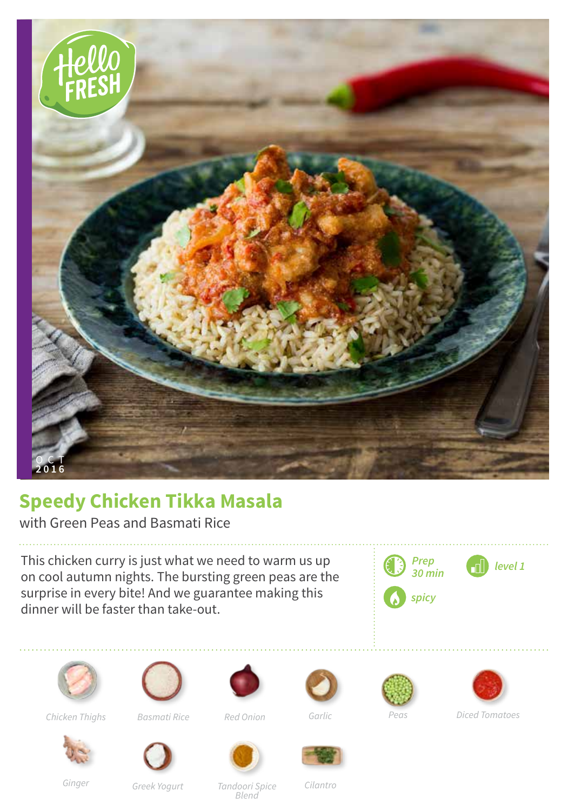

## **Speedy Chicken Tikka Masala**

with Green Peas and Basmati Rice

This chicken curry is just what we need to warm us up on cool autumn nights. The bursting green peas are the surprise in every bite! And we guarantee making this dinner will be faster than take-out.







*Chicken Thighs Basmati Rice Red Onion*



*Garlic*





*Diced Tomatoes*





*Ginger*

*Greek Yogurt*

*Tandoori Spice Blend*